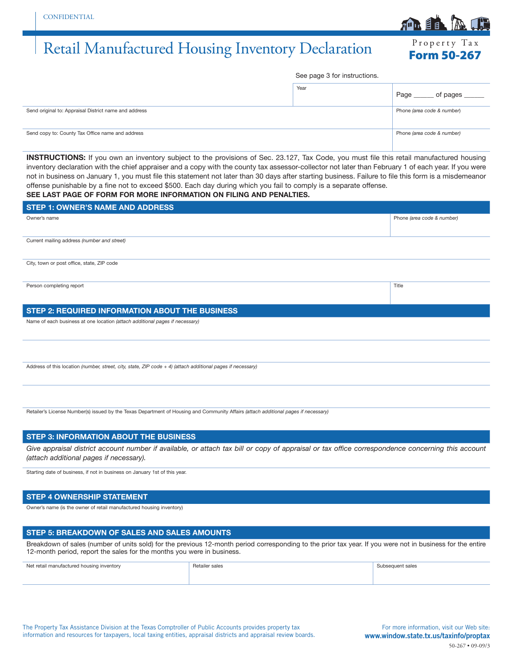# Retail Manufactured Housing Inventory Declaration Form 50-267

See page 3 for instructions.

|                                                       | Year | Page _______ of pages ______ |
|-------------------------------------------------------|------|------------------------------|
| Send original to: Appraisal District name and address |      | Phone (area code & number)   |
| Send copy to: County Tax Office name and address      |      | Phone (area code & number)   |

**INSTRUCTIONS:** If you own an inventory subject to the provisions of Sec. 23.127, Tax Code, you must file this retail manufactured housing inventory declaration with the chief appraiser and a copy with the county tax assessor-collector not later than February 1 of each year. If you were not in business on January 1, you must file this statement not later than 30 days after starting business. Failure to file this form is a misdemeanor offense punishable by a fine not to exceed \$500. Each day during which you fail to comply is a separate offense. **SEE LAST PAGE OF FORM FOR MORE INFORMATION ON FILING AND PENALTIES.**

| <b>STEP 1: OWNER'S NAME AND ADDRESS</b>                                                                       |                            |
|---------------------------------------------------------------------------------------------------------------|----------------------------|
| Owner's name                                                                                                  | Phone (area code & number) |
|                                                                                                               |                            |
| Current mailing address (number and street)                                                                   |                            |
|                                                                                                               |                            |
| City, town or post office, state, ZIP code                                                                    |                            |
|                                                                                                               |                            |
| Person completing report                                                                                      | Title                      |
|                                                                                                               |                            |
| STEP 2: REQUIRED INFORMATION ABOUT THE BUSINESS                                                               |                            |
| Name of each business at one location (attach additional pages if necessary)                                  |                            |
|                                                                                                               |                            |
|                                                                                                               |                            |
|                                                                                                               |                            |
| Address of this location (number, street, city, state, ZIP code $+$ 4) (attach additional pages if necessary) |                            |
|                                                                                                               |                            |

Retailer's License Number(s) issued by the Texas Department of Housing and Community Affairs *(attach additional pages if necessary)*

## **STEP 3: INFORMATION ABOUT THE BUSINESS**

Give appraisal district account number if available, or attach tax bill or copy of appraisal or tax office correspondence concerning this account *(attach additional pages if necessary).*

Starting date of business, if not in business on January 1st of this year.

### **STEP 4 OWNERSHIP STATEMENT**

Owner's name (is the owner of retail manufactured housing inventory)

#### **STEP 5: BREAKDOWN OF SALES AND SALES AMOUNTS**

Breakdown of sales (number of units sold) for the previous 12-month period corresponding to the prior tax year. If you were not in business for the entire 12-month period, report the sales for the months you were in business.

| Net retail manufactured housing inventory | Retailer sales<br>. | Subsequent sales<br>. |
|-------------------------------------------|---------------------|-----------------------|
|                                           |                     |                       |

For more information, visit our Web site: www.window.state.tx.us/taxinfo/proptax 50-267 • 09-09/3

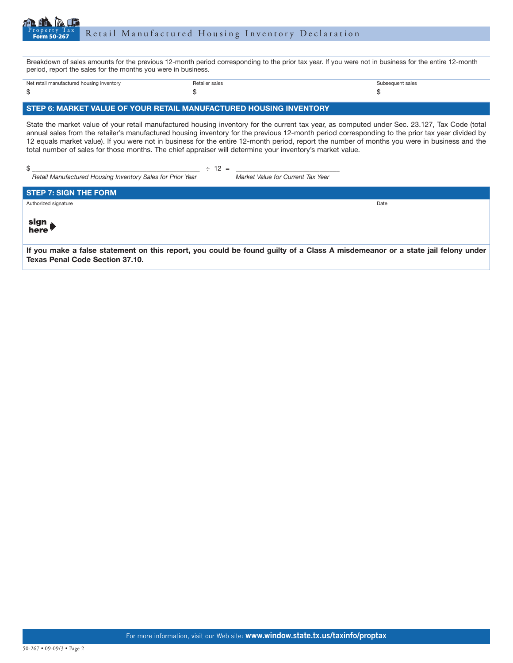

Breakdown of sales amounts for the previous 12-month period corresponding to the prior tax year. If you were not in business for the entire 12-month period, report the sales for the months you were in business.

| Net retail manufactured housing inventory | Retailer sales | Subsequent sales |
|-------------------------------------------|----------------|------------------|
| -S                                        |                |                  |

# **STEP 6: MARKET VALUE OF YOUR RETAIL MANUFACTURED HOUSING INVENTORY**

State the market value of your retail manufactured housing inventory for the current tax year, as computed under Sec. 23.127, Tax Code (total annual sales from the retailer's manufactured housing inventory for the previous 12-month period corresponding to the prior tax year divided by 12 equals market value). If you were not in business for the entire 12-month period, report the number of months you were in business and the total number of sales for those months. The chief appraiser will determine your inventory's market value.

| Retail Manufactured Housing Inventory Sales for Prior Year | $\div$ 12 = | Market Value for Current Tax Year |      |
|------------------------------------------------------------|-------------|-----------------------------------|------|
| <b>STEP 7: SIGN THE FORM</b>                               |             |                                   |      |
| Authorized signature                                       |             |                                   | Date |
| sign<br>here                                               |             |                                   |      |

**If you make a false statement on this report, you could be found guilty of a Class A misdemeanor or a state jail felony under Texas Penal Code Section 37.10.**